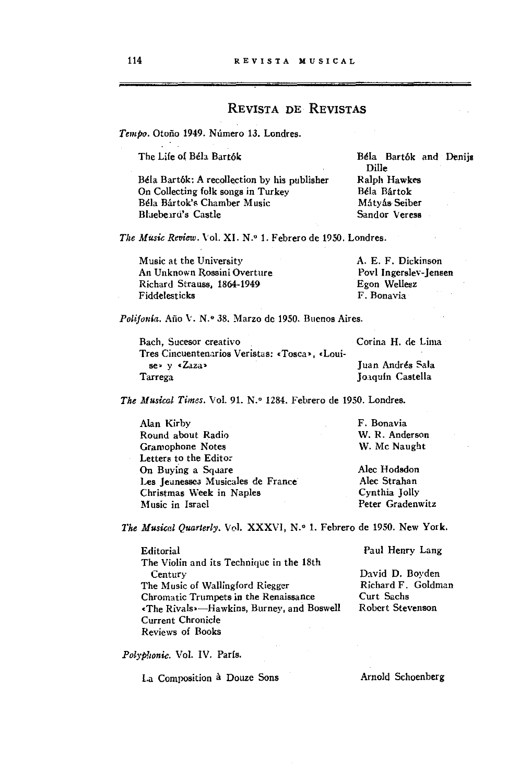## REVISTA DE REVISTAS

Tempo. Otoño 1949. Número 13. Londres.

The Life of Béla Bartók

Béla Bartók: A recollection by his publisher On Collecting folk songs in Turkey Béla Bártok's Chamber Music Bluebeard's Castle

Béla Bartók and Denijs Dille Ralph Hawkes Béla Bártok Mátyás Seiber Sandor Veress

The Music Review. Vol. XI. N.º 1. Febrero de 1950. Londres.

Music at the University A. E. F. Dickinson An Unknown Rossini Overture Povl Ingerslev-Jensen Richard Strauss, 1864-1949 Egon Wellesz Fiddelesticks F. Bonavia

Polifonía. Año V. N.º 38. Marzo de 1950. Buenos Aires.

Bach, Sucesor creativo Corina H. de Lima Tres Cincuentenarios Veristas: «Tosca», «Louise» y «Zaza» Juan Andrés Sala Joaquín Castella Tarrega

The Musical Times. Vol. 91. N.º 1284. Febrero de 1950. Londres.

| Alan Kirby                        | F. Bonavia       |
|-----------------------------------|------------------|
| Round about Radio                 | W. R. Anderson   |
| Gramophone Notes                  | W. Mc Naught     |
| Letters to the Editor             |                  |
| On Buying a Square                | Alec Hodsdon     |
| Les Jeunesses Musicales de France | Alec Strahan     |
| Christmas Week in Naples          | Cynthia Jolly    |
| Music in Israel                   | Peter Gradenwitz |

The Musical Quarterly. Vol. XXXVI, N.º 1. Febrero de 1950. New York.

Paul Henry Lang Editorial The Violin and its Technique in the 18th David D. Boyden Century Richard F. Goldman The Music of Wallingford Riegger Chromatic Trumpets in the Renaissance Curt Sachs «The Rivals»-Hawkins, Burney, and Boswell Robert Stevenson **Current Chronicle Reviews of Books** 

Polyphonie. Vol. IV. París.

La Composition à Douze Sons

Arnold Schoenberg